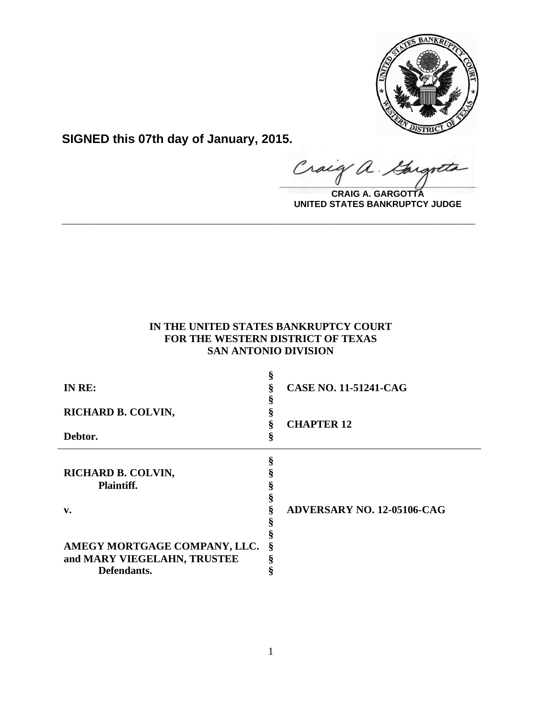

**SIGNED this 07th day of January, 2015.**

Craig a. Gargott

**CRAIG A. GARGOTTA UNITED STATES BANKRUPTCY JUDGE**

# **IN THE UNITED STATES BANKRUPTCY COURT FOR THE WESTERN DISTRICT OF TEXAS SAN ANTONIO DIVISION**

**\_\_\_\_\_\_\_\_\_\_\_\_\_\_\_\_\_\_\_\_\_\_\_\_\_\_\_\_\_\_\_\_\_\_\_\_\_\_\_\_\_\_\_\_\_\_\_\_\_\_\_\_\_\_\_\_\_\_\_\_**

| IN RE:                       |   | <b>CASE NO. 11-51241-CAG</b>      |
|------------------------------|---|-----------------------------------|
| RICHARD B. COLVIN,           |   |                                   |
|                              |   | <b>CHAPTER 12</b>                 |
| Debtor.                      |   |                                   |
|                              | ş |                                   |
|                              | ş |                                   |
| RICHARD B. COLVIN,           |   |                                   |
| <b>Plaintiff.</b>            |   |                                   |
|                              |   |                                   |
| $\mathbf{v}$ .               |   | <b>ADVERSARY NO. 12-05106-CAG</b> |
|                              |   |                                   |
|                              |   |                                   |
| AMEGY MORTGAGE COMPANY, LLC. | ş |                                   |
| and MARY VIEGELAHN, TRUSTEE  |   |                                   |
| Defendants.                  |   |                                   |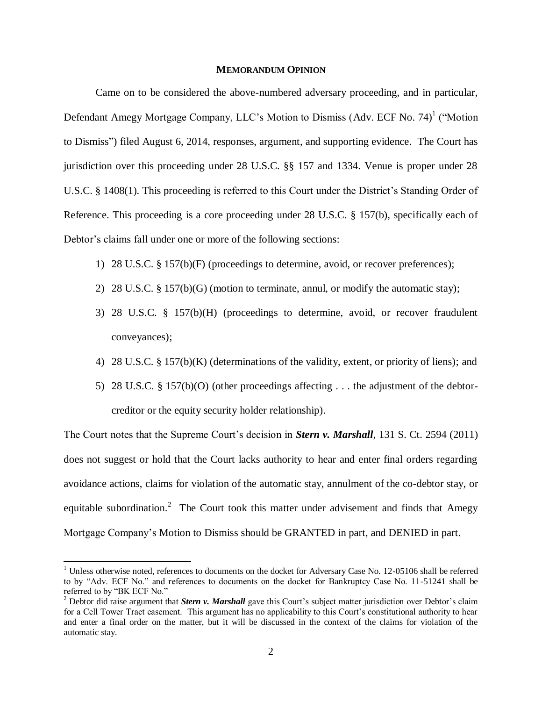## **MEMORANDUM OPINION**

Came on to be considered the above-numbered adversary proceeding, and in particular, Defendant Amegy Mortgage Company, LLC's Motion to Dismiss (Adv. ECF No. 74)<sup>1</sup> ("Motion to Dismiss") filed August 6, 2014, responses, argument, and supporting evidence. The Court has jurisdiction over this proceeding under 28 U.S.C. §§ 157 and 1334. Venue is proper under 28 U.S.C. § 1408(1). This proceeding is referred to this Court under the District's Standing Order of Reference. This proceeding is a core proceeding under 28 U.S.C. § 157(b), specifically each of Debtor's claims fall under one or more of the following sections:

- 1) 28 U.S.C. § 157(b)(F) (proceedings to determine, avoid, or recover preferences);
- 2) 28 U.S.C. § 157(b)(G) (motion to terminate, annul, or modify the automatic stay);
- 3) 28 U.S.C. § 157(b)(H) (proceedings to determine, avoid, or recover fraudulent conveyances);
- 4) 28 U.S.C. § 157(b)(K) (determinations of the validity, extent, or priority of liens); and
- 5) 28 U.S.C. § 157(b)(O) (other proceedings affecting . . . the adjustment of the debtorcreditor or the equity security holder relationship).

The Court notes that the Supreme Court's decision in *Stern v. Marshall*, 131 S. Ct. 2594 (2011) does not suggest or hold that the Court lacks authority to hear and enter final orders regarding avoidance actions, claims for violation of the automatic stay, annulment of the co-debtor stay, or equitable subordination.<sup>2</sup> The Court took this matter under advisement and finds that Amegy Mortgage Company's Motion to Dismiss should be GRANTED in part, and DENIED in part.

 $\overline{a}$ 

<sup>&</sup>lt;sup>1</sup> Unless otherwise noted, references to documents on the docket for Adversary Case No. 12-05106 shall be referred to by "Adv. ECF No." and references to documents on the docket for Bankruptcy Case No. 11-51241 shall be referred to by "BK ECF No."

<sup>&</sup>lt;sup>2</sup> Debtor did raise argument that *Stern v. Marshall* gave this Court's subject matter jurisdiction over Debtor's claim for a Cell Tower Tract easement. This argument has no applicability to this Court's constitutional authority to hear and enter a final order on the matter, but it will be discussed in the context of the claims for violation of the automatic stay.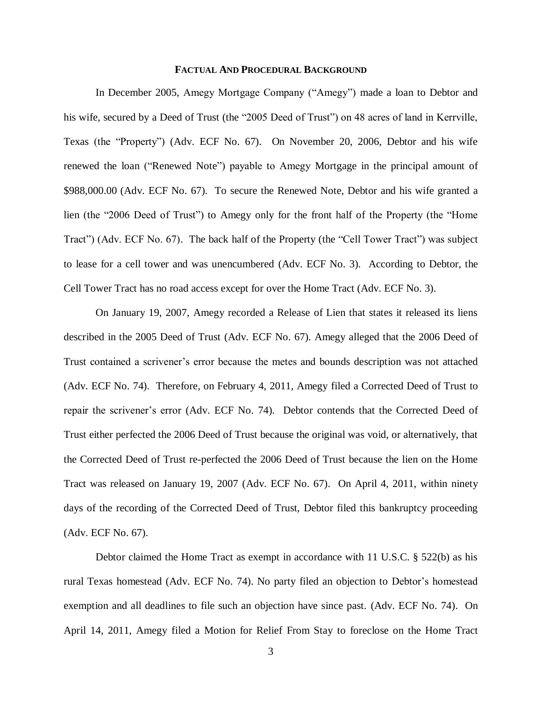## **FACTUAL AND PROCEDURAL BACKGROUND**

In December 2005, Amegy Mortgage Company ("Amegy") made a loan to Debtor and his wife, secured by a Deed of Trust (the "2005 Deed of Trust") on 48 acres of land in Kerrville, Texas (the "Property") (Adv. ECF No. 67). On November 20, 2006, Debtor and his wife renewed the loan ("Renewed Note") payable to Amegy Mortgage in the principal amount of \$988,000.00 (Adv. ECF No. 67). To secure the Renewed Note, Debtor and his wife granted a lien (the "2006 Deed of Trust") to Amegy only for the front half of the Property (the "Home Tract") (Adv. ECF No. 67). The back half of the Property (the "Cell Tower Tract") was subject to lease for a cell tower and was unencumbered (Adv. ECF No. 3). According to Debtor, the Cell Tower Tract has no road access except for over the Home Tract (Adv. ECF No. 3).

On January 19, 2007, Amegy recorded a Release of Lien that states it released its liens described in the 2005 Deed of Trust (Adv. ECF No. 67). Amegy alleged that the 2006 Deed of Trust contained a scrivener's error because the metes and bounds description was not attached (Adv. ECF No. 74). Therefore, on February 4, 2011, Amegy filed a Corrected Deed of Trust to repair the scrivener's error (Adv. ECF No. 74). Debtor contends that the Corrected Deed of Trust either perfected the 2006 Deed of Trust because the original was void, or alternatively, that the Corrected Deed of Trust re-perfected the 2006 Deed of Trust because the lien on the Home Tract was released on January 19, 2007 (Adv. ECF No. 67). On April 4, 2011, within ninety days of the recording of the Corrected Deed of Trust, Debtor filed this bankruptcy proceeding (Adv. ECF No. 67).

Debtor claimed the Home Tract as exempt in accordance with 11 U.S.C. § 522(b) as his rural Texas homestead (Adv. ECF No. 74). No party filed an objection to Debtor's homestead exemption and all deadlines to file such an objection have since past. (Adv. ECF No. 74). On April 14, 2011, Amegy filed a Motion for Relief From Stay to foreclose on the Home Tract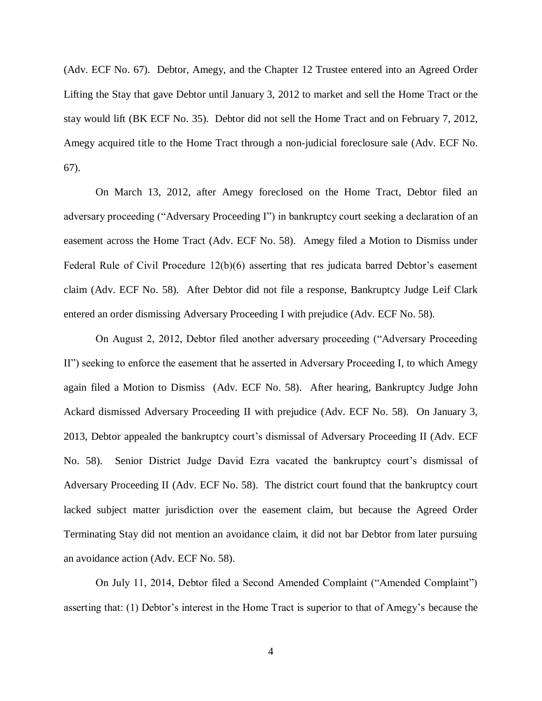(Adv. ECF No. 67). Debtor, Amegy, and the Chapter 12 Trustee entered into an Agreed Order Lifting the Stay that gave Debtor until January 3, 2012 to market and sell the Home Tract or the stay would lift (BK ECF No. 35). Debtor did not sell the Home Tract and on February 7, 2012, Amegy acquired title to the Home Tract through a non-judicial foreclosure sale (Adv. ECF No. 67).

On March 13, 2012, after Amegy foreclosed on the Home Tract, Debtor filed an adversary proceeding ("Adversary Proceeding I") in bankruptcy court seeking a declaration of an easement across the Home Tract (Adv. ECF No. 58). Amegy filed a Motion to Dismiss under Federal Rule of Civil Procedure 12(b)(6) asserting that res judicata barred Debtor's easement claim (Adv. ECF No. 58). After Debtor did not file a response, Bankruptcy Judge Leif Clark entered an order dismissing Adversary Proceeding I with prejudice (Adv. ECF No. 58).

On August 2, 2012, Debtor filed another adversary proceeding ("Adversary Proceeding II") seeking to enforce the easement that he asserted in Adversary Proceeding I, to which Amegy again filed a Motion to Dismiss (Adv. ECF No. 58). After hearing, Bankruptcy Judge John Ackard dismissed Adversary Proceeding II with prejudice (Adv. ECF No. 58). On January 3, 2013, Debtor appealed the bankruptcy court's dismissal of Adversary Proceeding II (Adv. ECF No. 58). Senior District Judge David Ezra vacated the bankruptcy court's dismissal of Adversary Proceeding II (Adv. ECF No. 58). The district court found that the bankruptcy court lacked subject matter jurisdiction over the easement claim, but because the Agreed Order Terminating Stay did not mention an avoidance claim, it did not bar Debtor from later pursuing an avoidance action (Adv. ECF No. 58).

On July 11, 2014, Debtor filed a Second Amended Complaint ("Amended Complaint") asserting that: (1) Debtor's interest in the Home Tract is superior to that of Amegy's because the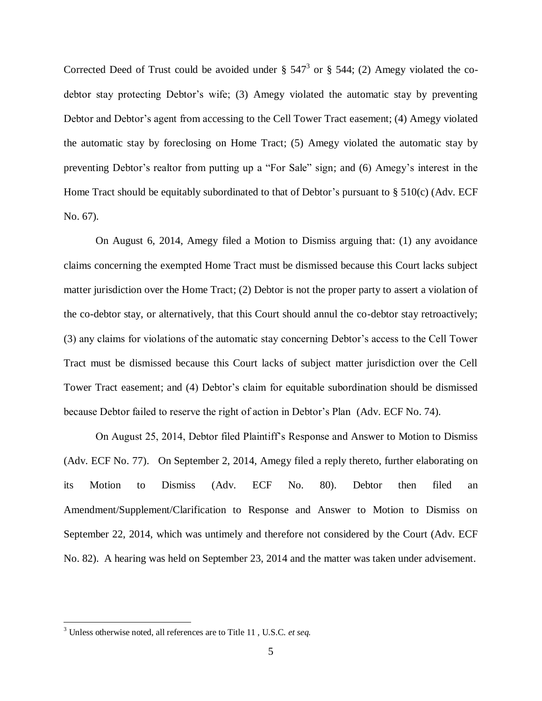Corrected Deed of Trust could be avoided under  $\S 547^3$  or  $\S 544$ ; (2) Amegy violated the codebtor stay protecting Debtor's wife; (3) Amegy violated the automatic stay by preventing Debtor and Debtor's agent from accessing to the Cell Tower Tract easement; (4) Amegy violated the automatic stay by foreclosing on Home Tract; (5) Amegy violated the automatic stay by preventing Debtor's realtor from putting up a "For Sale" sign; and (6) Amegy's interest in the Home Tract should be equitably subordinated to that of Debtor's pursuant to  $\S$  510(c) (Adv. ECF No. 67).

On August 6, 2014, Amegy filed a Motion to Dismiss arguing that: (1) any avoidance claims concerning the exempted Home Tract must be dismissed because this Court lacks subject matter jurisdiction over the Home Tract; (2) Debtor is not the proper party to assert a violation of the co-debtor stay, or alternatively, that this Court should annul the co-debtor stay retroactively; (3) any claims for violations of the automatic stay concerning Debtor's access to the Cell Tower Tract must be dismissed because this Court lacks of subject matter jurisdiction over the Cell Tower Tract easement; and (4) Debtor's claim for equitable subordination should be dismissed because Debtor failed to reserve the right of action in Debtor's Plan (Adv. ECF No. 74).

On August 25, 2014, Debtor filed Plaintiff's Response and Answer to Motion to Dismiss (Adv. ECF No. 77). On September 2, 2014, Amegy filed a reply thereto, further elaborating on its Motion to Dismiss (Adv. ECF No. 80). Debtor then filed an Amendment/Supplement/Clarification to Response and Answer to Motion to Dismiss on September 22, 2014, which was untimely and therefore not considered by the Court (Adv. ECF No. 82). A hearing was held on September 23, 2014 and the matter was taken under advisement.

 $\overline{\phantom{a}}$ 

<sup>3</sup> Unless otherwise noted, all references are to Title 11 , U.S.C. *et seq.*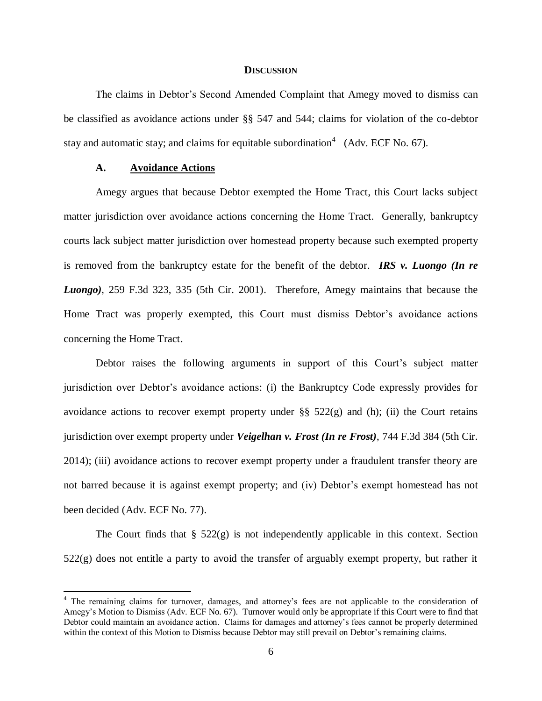### **DISCUSSION**

The claims in Debtor's Second Amended Complaint that Amegy moved to dismiss can be classified as avoidance actions under §§ 547 and 544; claims for violation of the co-debtor stay and automatic stay; and claims for equitable subordination<sup>4</sup> (Adv. ECF No. 67).

### **A. Avoidance Actions**

 $\overline{\phantom{a}}$ 

Amegy argues that because Debtor exempted the Home Tract, this Court lacks subject matter jurisdiction over avoidance actions concerning the Home Tract. Generally, bankruptcy courts lack subject matter jurisdiction over homestead property because such exempted property is removed from the bankruptcy estate for the benefit of the debtor. *IRS v. Luongo (In re Luongo)*, 259 F.3d 323, 335 (5th Cir. 2001). Therefore, Amegy maintains that because the Home Tract was properly exempted, this Court must dismiss Debtor's avoidance actions concerning the Home Tract.

Debtor raises the following arguments in support of this Court's subject matter jurisdiction over Debtor's avoidance actions: (i) the Bankruptcy Code expressly provides for avoidance actions to recover exempt property under  $\S$ § 522(g) and (h); (ii) the Court retains jurisdiction over exempt property under *Veigelhan v. Frost (In re Frost)*, 744 F.3d 384 (5th Cir. 2014); (iii) avoidance actions to recover exempt property under a fraudulent transfer theory are not barred because it is against exempt property; and (iv) Debtor's exempt homestead has not been decided (Adv. ECF No. 77).

The Court finds that  $\S$  522(g) is not independently applicable in this context. Section 522(g) does not entitle a party to avoid the transfer of arguably exempt property, but rather it

<sup>4</sup> The remaining claims for turnover, damages, and attorney's fees are not applicable to the consideration of Amegy's Motion to Dismiss (Adv. ECF No. 67). Turnover would only be appropriate if this Court were to find that Debtor could maintain an avoidance action. Claims for damages and attorney's fees cannot be properly determined within the context of this Motion to Dismiss because Debtor may still prevail on Debtor's remaining claims.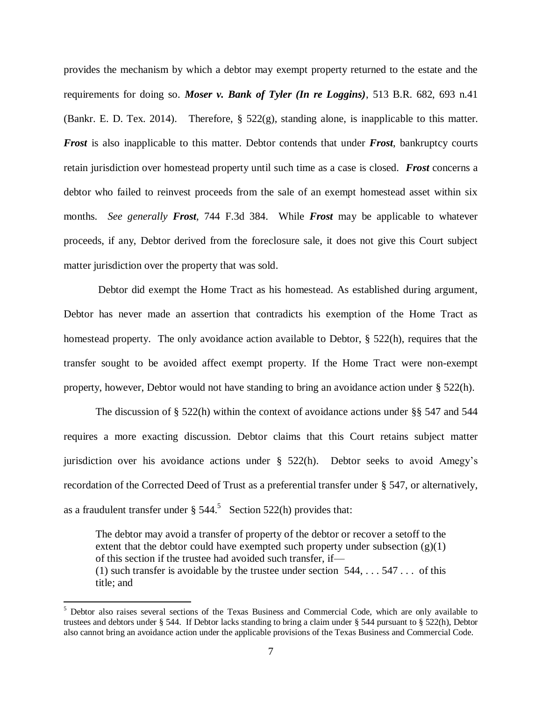provides the mechanism by which a debtor may exempt property returned to the estate and the requirements for doing so. *Moser v. Bank of Tyler (In re Loggins)*, 513 B.R. 682, 693 n.41 (Bankr. E. D. Tex. 2014). Therefore,  $\S$  522(g), standing alone, is inapplicable to this matter. *Frost* is also inapplicable to this matter. Debtor contends that under *Frost*, bankruptcy courts retain jurisdiction over homestead property until such time as a case is closed. *Frost* concerns a debtor who failed to reinvest proceeds from the sale of an exempt homestead asset within six months. *See generally Frost,* 744 F.3d 384. While *Frost* may be applicable to whatever proceeds, if any, Debtor derived from the foreclosure sale, it does not give this Court subject matter jurisdiction over the property that was sold.

Debtor did exempt the Home Tract as his homestead. As established during argument, Debtor has never made an assertion that contradicts his exemption of the Home Tract as homestead property. The only avoidance action available to Debtor, § 522(h), requires that the transfer sought to be avoided affect exempt property. If the Home Tract were non-exempt property, however, Debtor would not have standing to bring an avoidance action under § 522(h).

The discussion of § 522(h) within the context of avoidance actions under §§ 547 and 544 requires a more exacting discussion. Debtor claims that this Court retains subject matter jurisdiction over his avoidance actions under  $\S$  522(h). Debtor seeks to avoid Amegy's recordation of the Corrected Deed of Trust as a preferential transfer under § 547, or alternatively, as a fraudulent transfer under  $\S 544$ .<sup>5</sup> Section 522(h) provides that:

The debtor may avoid a transfer of property of the debtor or recover a setoff to the extent that the debtor could have exempted such property under subsection  $(g)(1)$ of this section if the trustee had avoided such transfer, if— (1) such transfer is avoidable by the trustee under section  $544, \ldots, 547 \ldots$  of this title; and

 $\overline{a}$ 

<sup>&</sup>lt;sup>5</sup> Debtor also raises several sections of the Texas Business and Commercial Code, which are only available to trustees and debtors under § 544. If Debtor lacks standing to bring a claim under § 544 pursuant to § 522(h), Debtor also cannot bring an avoidance action under the applicable provisions of the Texas Business and Commercial Code.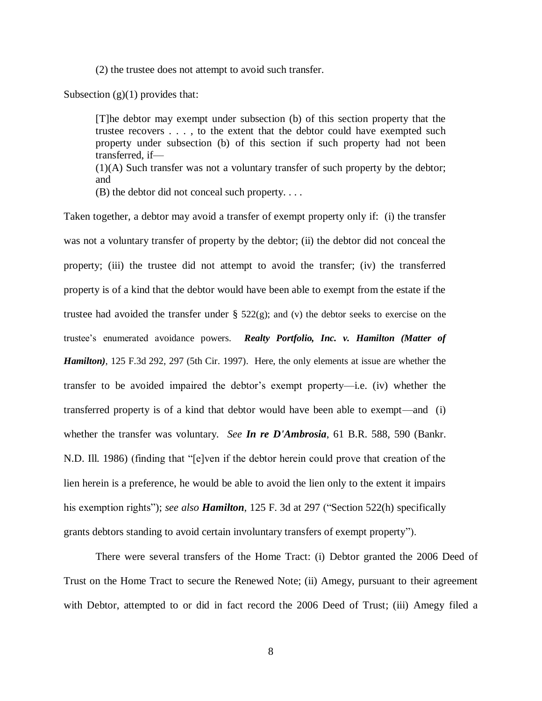(2) the trustee does not attempt to avoid such transfer.

Subsection  $(g)(1)$  provides that:

[T]he debtor may exempt under subsection (b) of this section property that the trustee recovers . . . , to the extent that the debtor could have exempted such property under subsection (b) of this section if such property had not been transferred, if—

(1)(A) Such transfer was not a voluntary transfer of such property by the debtor; and

(B) the debtor did not conceal such property. . . .

Taken together, a debtor may avoid a transfer of exempt property only if: (i) the transfer was not a voluntary transfer of property by the debtor; (ii) the debtor did not conceal the property; (iii) the trustee did not attempt to avoid the transfer; (iv) the transferred property is of a kind that the debtor would have been able to exempt from the estate if the trustee had avoided the transfer under  $\S$  522(g); and (v) the debtor seeks to exercise on the trustee's enumerated avoidance powers. *Realty Portfolio, Inc. v. Hamilton (Matter of Hamilton)*, 125 F.3d 292, 297 (5th Cir. 1997).Here, the only elements at issue are whether the transfer to be avoided impaired the debtor's exempt property—i.e. (iv) whether the transferred property is of a kind that debtor would have been able to exempt—and (i) whether the transfer was voluntary. *See In re D'Ambrosia*, 61 B.R. 588, 590 (Bankr. N.D. Ill. 1986) (finding that "[e]ven if the debtor herein could prove that creation of the lien herein is a preference, he would be able to avoid the lien only to the extent it impairs his exemption rights"); *see also Hamilton*, 125 F. 3d at 297 ("Section 522(h) specifically grants debtors standing to avoid certain involuntary transfers of exempt property").

There were several transfers of the Home Tract: (i) Debtor granted the 2006 Deed of Trust on the Home Tract to secure the Renewed Note; (ii) Amegy, pursuant to their agreement with Debtor, attempted to or did in fact record the 2006 Deed of Trust; (iii) Amegy filed a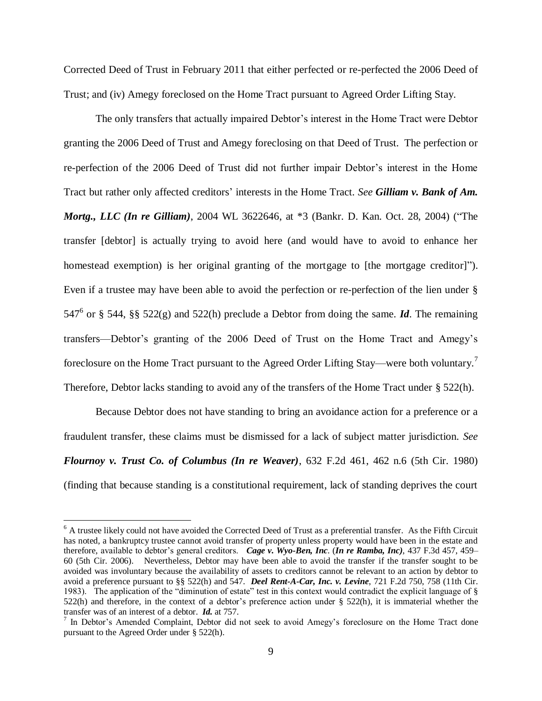Corrected Deed of Trust in February 2011 that either perfected or re-perfected the 2006 Deed of Trust; and (iv) Amegy foreclosed on the Home Tract pursuant to Agreed Order Lifting Stay.

The only transfers that actually impaired Debtor's interest in the Home Tract were Debtor granting the 2006 Deed of Trust and Amegy foreclosing on that Deed of Trust. The perfection or re-perfection of the 2006 Deed of Trust did not further impair Debtor's interest in the Home Tract but rather only affected creditors' interests in the Home Tract. *See Gilliam v. Bank of Am. Mortg., LLC (In re Gilliam)*, 2004 WL 3622646, at \*3 (Bankr. D. Kan. Oct. 28, 2004) ("The transfer [debtor] is actually trying to avoid here (and would have to avoid to enhance her homestead exemption) is her original granting of the mortgage to [the mortgage creditor]"). Even if a trustee may have been able to avoid the perfection or re-perfection of the lien under § 547<sup>6</sup> or § 544, §§ 522(g) and 522(h) preclude a Debtor from doing the same. *Id*. The remaining transfers—Debtor's granting of the 2006 Deed of Trust on the Home Tract and Amegy's foreclosure on the Home Tract pursuant to the Agreed Order Lifting Stay—were both voluntary.<sup>7</sup> Therefore, Debtor lacks standing to avoid any of the transfers of the Home Tract under § 522(h).

Because Debtor does not have standing to bring an avoidance action for a preference or a fraudulent transfer, these claims must be dismissed for a lack of subject matter jurisdiction. *See Flournoy v. Trust Co. of Columbus (In re Weaver)*, 632 F.2d 461, 462 n.6 (5th Cir. 1980) (finding that because standing is a constitutional requirement, lack of standing deprives the court

 $\overline{a}$ 

<sup>&</sup>lt;sup>6</sup> A trustee likely could not have avoided the Corrected Deed of Trust as a preferential transfer. As the Fifth Circuit has noted, a bankruptcy trustee cannot avoid transfer of property unless property would have been in the estate and therefore, available to debtor's general creditors. *Cage v. Wyo-Ben, Inc*. (*In re Ramba, Inc)*, 437 F.3d 457, 459– 60 (5th Cir. 2006). Nevertheless, Debtor may have been able to avoid the transfer if the transfer sought to be avoided was involuntary because the availability of assets to creditors cannot be relevant to an action by debtor to avoid a preference pursuant to §§ 522(h) and 547. *Deel Rent-A-Car, Inc. v. Levine*, 721 F.2d 750, 758 (11th Cir. 1983). The application of the "diminution of estate" test in this context would contradict the explicit language of § 522(h) and therefore, in the context of a debtor's preference action under § 522(h), it is immaterial whether the transfer was of an interest of a debtor. *Id.* at 757.

 $<sup>7</sup>$  In Debtor's Amended Complaint, Debtor did not seek to avoid Amegy's foreclosure on the Home Tract done</sup> pursuant to the Agreed Order under § 522(h).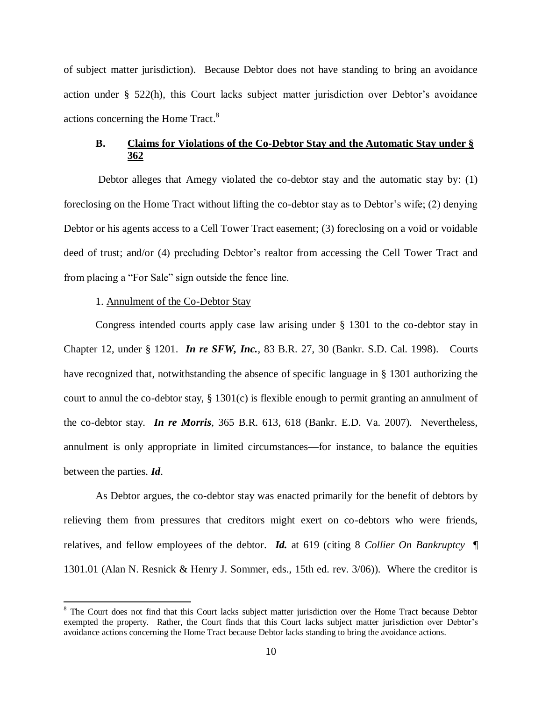of subject matter jurisdiction). Because Debtor does not have standing to bring an avoidance action under § 522(h), this Court lacks subject matter jurisdiction over Debtor's avoidance actions concerning the Home Tract.<sup>8</sup>

# **B. Claims for Violations of the Co-Debtor Stay and the Automatic Stay under § 362**

Debtor alleges that Amegy violated the co-debtor stay and the automatic stay by: (1) foreclosing on the Home Tract without lifting the co-debtor stay as to Debtor's wife; (2) denying Debtor or his agents access to a Cell Tower Tract easement; (3) foreclosing on a void or voidable deed of trust; and/or (4) precluding Debtor's realtor from accessing the Cell Tower Tract and from placing a "For Sale" sign outside the fence line.

## 1. Annulment of the Co-Debtor Stay

 $\overline{a}$ 

Congress intended courts apply case law arising under § 1301 to the co-debtor stay in Chapter 12, under § 1201. *In re SFW, Inc.*, 83 B.R. 27, 30 (Bankr. S.D. Cal. 1998). Courts have recognized that, notwithstanding the absence of specific language in § 1301 authorizing the court to annul the co-debtor stay, § 1301(c) is flexible enough to permit granting an annulment of the co-debtor stay. *In re Morris*, 365 B.R. 613, 618 (Bankr. E.D. Va. 2007). Nevertheless, annulment is only appropriate in limited circumstances—for instance, to balance the equities between the parties. *Id*.

As Debtor argues, the co-debtor stay was enacted primarily for the benefit of debtors by relieving them from pressures that creditors might exert on co-debtors who were friends, relatives, and fellow employees of the debtor. *Id.* at 619 (citing 8 *Collier On Bankruptcy* ¶ 1301.01 (Alan N. Resnick & Henry J. Sommer, eds., 15th ed. rev. 3/06)). Where the creditor is

<sup>&</sup>lt;sup>8</sup> The Court does not find that this Court lacks subject matter jurisdiction over the Home Tract because Debtor exempted the property. Rather, the Court finds that this Court lacks subject matter jurisdiction over Debtor's avoidance actions concerning the Home Tract because Debtor lacks standing to bring the avoidance actions.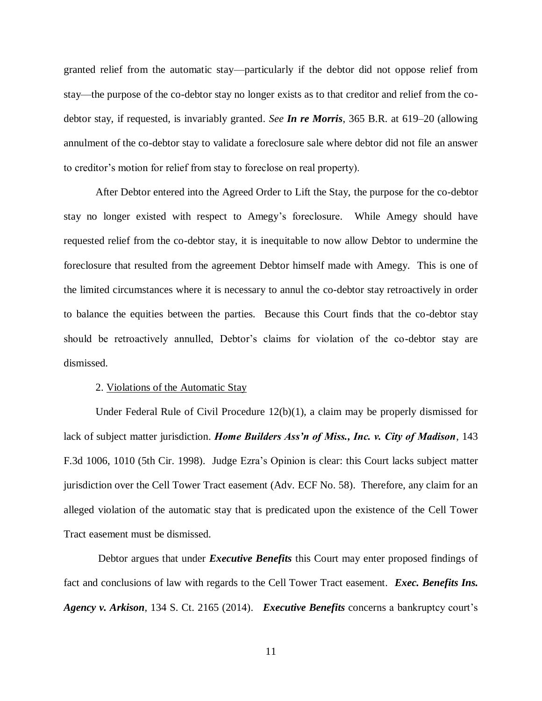granted relief from the automatic stay—particularly if the debtor did not oppose relief from stay—the purpose of the co-debtor stay no longer exists as to that creditor and relief from the codebtor stay, if requested, is invariably granted. *See In re Morris*, 365 B.R. at 619–20 (allowing annulment of the co-debtor stay to validate a foreclosure sale where debtor did not file an answer to creditor's motion for relief from stay to foreclose on real property).

After Debtor entered into the Agreed Order to Lift the Stay, the purpose for the co-debtor stay no longer existed with respect to Amegy's foreclosure. While Amegy should have requested relief from the co-debtor stay, it is inequitable to now allow Debtor to undermine the foreclosure that resulted from the agreement Debtor himself made with Amegy. This is one of the limited circumstances where it is necessary to annul the co-debtor stay retroactively in order to balance the equities between the parties. Because this Court finds that the co-debtor stay should be retroactively annulled, Debtor's claims for violation of the co-debtor stay are dismissed.

### 2. Violations of the Automatic Stay

Under Federal Rule of Civil Procedure 12(b)(1), a claim may be properly dismissed for lack of subject matter jurisdiction. *Home Builders Ass'n of Miss., Inc. v. City of Madison*, 143 F.3d 1006, 1010 (5th Cir. 1998). Judge Ezra's Opinion is clear: this Court lacks subject matter jurisdiction over the Cell Tower Tract easement (Adv. ECF No. 58). Therefore, any claim for an alleged violation of the automatic stay that is predicated upon the existence of the Cell Tower Tract easement must be dismissed.

Debtor argues that under *Executive Benefits* this Court may enter proposed findings of fact and conclusions of law with regards to the Cell Tower Tract easement. *Exec. Benefits Ins. Agency v. Arkison*, 134 S. Ct. 2165 (2014). *Executive Benefits* concerns a bankruptcy court's

11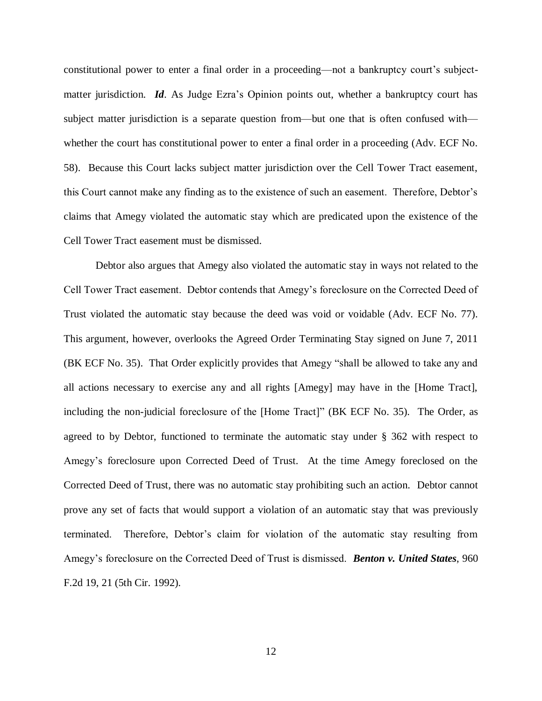constitutional power to enter a final order in a proceeding—not a bankruptcy court's subjectmatter jurisdiction. *Id*. As Judge Ezra's Opinion points out, whether a bankruptcy court has subject matter jurisdiction is a separate question from—but one that is often confused with whether the court has constitutional power to enter a final order in a proceeding (Adv. ECF No. 58). Because this Court lacks subject matter jurisdiction over the Cell Tower Tract easement, this Court cannot make any finding as to the existence of such an easement. Therefore, Debtor's claims that Amegy violated the automatic stay which are predicated upon the existence of the Cell Tower Tract easement must be dismissed.

Debtor also argues that Amegy also violated the automatic stay in ways not related to the Cell Tower Tract easement. Debtor contends that Amegy's foreclosure on the Corrected Deed of Trust violated the automatic stay because the deed was void or voidable (Adv. ECF No. 77). This argument, however, overlooks the Agreed Order Terminating Stay signed on June 7, 2011 (BK ECF No. 35). That Order explicitly provides that Amegy "shall be allowed to take any and all actions necessary to exercise any and all rights [Amegy] may have in the [Home Tract], including the non-judicial foreclosure of the [Home Tract]" (BK ECF No. 35). The Order, as agreed to by Debtor, functioned to terminate the automatic stay under § 362 with respect to Amegy's foreclosure upon Corrected Deed of Trust. At the time Amegy foreclosed on the Corrected Deed of Trust, there was no automatic stay prohibiting such an action. Debtor cannot prove any set of facts that would support a violation of an automatic stay that was previously terminated. Therefore, Debtor's claim for violation of the automatic stay resulting from Amegy's foreclosure on the Corrected Deed of Trust is dismissed. *Benton v. United States*, 960 F.2d 19, 21 (5th Cir. 1992).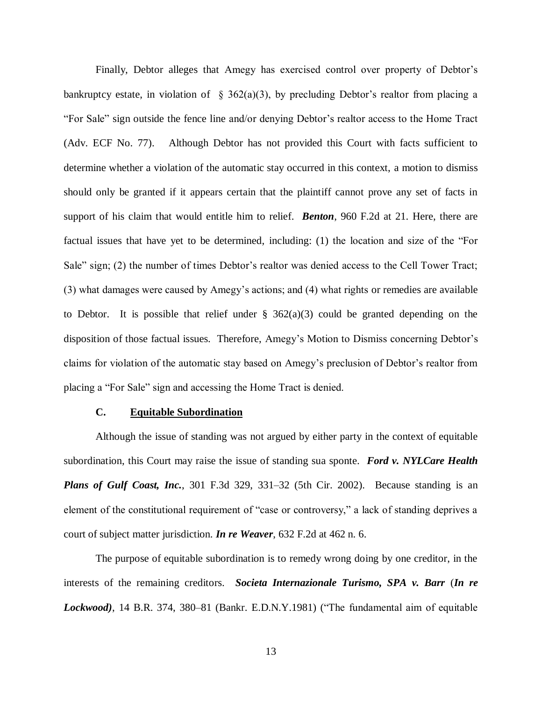Finally, Debtor alleges that Amegy has exercised control over property of Debtor's bankruptcy estate, in violation of  $\S$  362(a)(3), by precluding Debtor's realtor from placing a "For Sale" sign outside the fence line and/or denying Debtor's realtor access to the Home Tract (Adv. ECF No. 77). Although Debtor has not provided this Court with facts sufficient to determine whether a violation of the automatic stay occurred in this context, a motion to dismiss should only be granted if it appears certain that the plaintiff cannot prove any set of facts in support of his claim that would entitle him to relief. *Benton*, 960 F.2d at 21. Here, there are factual issues that have yet to be determined, including: (1) the location and size of the "For Sale" sign; (2) the number of times Debtor's realtor was denied access to the Cell Tower Tract; (3) what damages were caused by Amegy's actions; and (4) what rights or remedies are available to Debtor. It is possible that relief under  $\S$  362(a)(3) could be granted depending on the disposition of those factual issues. Therefore, Amegy's Motion to Dismiss concerning Debtor's claims for violation of the automatic stay based on Amegy's preclusion of Debtor's realtor from placing a "For Sale" sign and accessing the Home Tract is denied.

# **C. Equitable Subordination**

Although the issue of standing was not argued by either party in the context of equitable subordination, this Court may raise the issue of standing sua sponte. *Ford v. NYLCare Health Plans of Gulf Coast, Inc.*, 301 F.3d 329, 331–32 (5th Cir. 2002). Because standing is an element of the constitutional requirement of "case or controversy," a lack of standing deprives a court of subject matter jurisdiction. *In re Weaver*, 632 F.2d at 462 n. 6.

The purpose of equitable subordination is to remedy wrong doing by one creditor, in the interests of the remaining creditors. *Societa Internazionale Turismo, SPA v. Barr* (*In re Lockwood)*, 14 B.R. 374, 380–81 (Bankr. E.D.N.Y.1981) ("The fundamental aim of equitable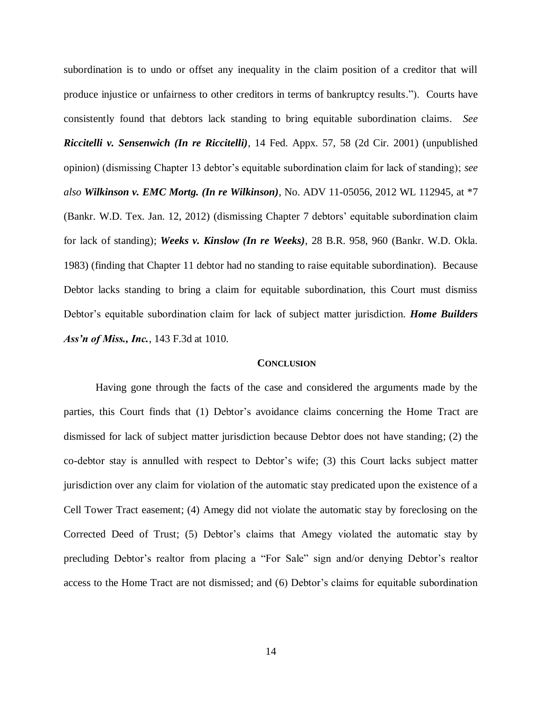subordination is to undo or offset any inequality in the claim position of a creditor that will produce injustice or unfairness to other creditors in terms of bankruptcy results."). Courts have consistently found that debtors lack standing to bring equitable subordination claims. *See Riccitelli v. Sensenwich (In re Riccitelli)*, 14 Fed. Appx. 57, 58 (2d Cir. 2001) (unpublished opinion) (dismissing Chapter 13 debtor's equitable subordination claim for lack of standing); *see also Wilkinson v. EMC Mortg. (In re Wilkinson)*, No. ADV 11-05056, 2012 WL 112945, at \*7 (Bankr. W.D. Tex. Jan. 12, 2012) (dismissing Chapter 7 debtors' equitable subordination claim for lack of standing); *Weeks v. Kinslow (In re Weeks)*, 28 B.R. 958, 960 (Bankr. W.D. Okla. 1983) (finding that Chapter 11 debtor had no standing to raise equitable subordination). Because Debtor lacks standing to bring a claim for equitable subordination, this Court must dismiss Debtor's equitable subordination claim for lack of subject matter jurisdiction. *Home Builders Ass'n of Miss., Inc.*, 143 F.3d at 1010.

### **CONCLUSION**

Having gone through the facts of the case and considered the arguments made by the parties, this Court finds that (1) Debtor's avoidance claims concerning the Home Tract are dismissed for lack of subject matter jurisdiction because Debtor does not have standing; (2) the co-debtor stay is annulled with respect to Debtor's wife; (3) this Court lacks subject matter jurisdiction over any claim for violation of the automatic stay predicated upon the existence of a Cell Tower Tract easement; (4) Amegy did not violate the automatic stay by foreclosing on the Corrected Deed of Trust; (5) Debtor's claims that Amegy violated the automatic stay by precluding Debtor's realtor from placing a "For Sale" sign and/or denying Debtor's realtor access to the Home Tract are not dismissed; and (6) Debtor's claims for equitable subordination